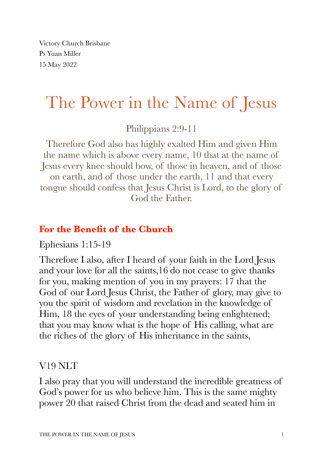Victory Church Brisbane Ps Yuan Miller 15 May 2022

# The Power in the Name of Jesus

Philippians 2:9-11

Therefore God also has highly exalted Him and given Him the name which is above every name, 10 that at the name of Jesus every knee should bow, of those in heaven, and of those on earth, and of those under the earth, 11 and that every tongue should confess that Jesus Christ is Lord, to the glory of God the Father.

## **For the Benefit of the Church**

Ephesians 1:15-19

Therefore I also, after I heard of your faith in the Lord Jesus and your love for all the saints,16 do not cease to give thanks for you, making mention of you in my prayers: 17 that the God of our Lord Jesus Christ, the Father of glory, may give to you the spirit of wisdom and revelation in the knowledge of Him, 18 the eyes of your understanding being enlightened; that you may know what is the hope of His calling, what are the riches of the glory of His inheritance in the saints,

### V19 NLT

I also pray that you will understand the incredible greatness of God's power for us who believe him. This is the same mighty power 20 that raised Christ from the dead and seated him in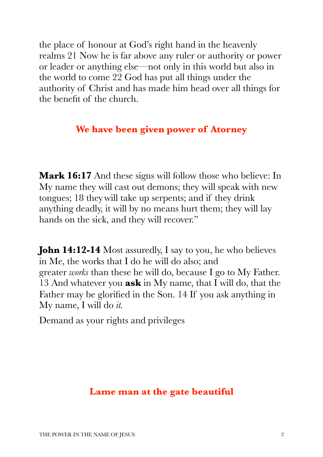the place of honour at God's right hand in the heavenly realms 21 Now he is far above any ruler or authority or power or leader or anything else—not only in this world but also in the world to come 22 God has put all things under the authority of Christ and has made him head over all things for the benefit of the church.

#### **We have been given power of Atorney**

**Mark 16:17** And these signs will follow those who believe: In My name they will cast out demons; they will speak with new tongues; 18 theywill take up serpents; and if they drink anything deadly, it will by no means hurt them; they will lay hands on the sick, and they will recover."

**John 14:12-14** Most assuredly, I say to you, he who believes in Me, the works that I do he will do also; and greater *works* than these he will do, because I go to My Father. 13 And whatever you **ask** in My name, that I will do, that the Father may be glorified in the Son. 14 If you ask anything in My name, I will do *it.*

Demand as your rights and privileges

#### **Lame man at the gate beautiful**